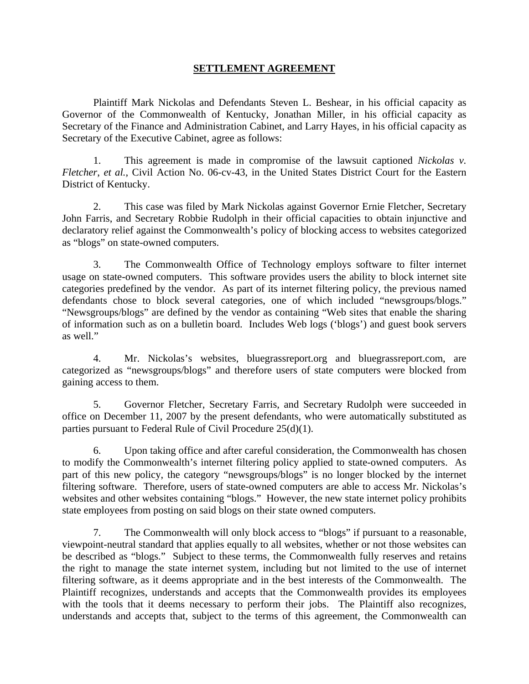## **SETTLEMENT AGREEMENT**

Plaintiff Mark Nickolas and Defendants Steven L. Beshear, in his official capacity as Governor of the Commonwealth of Kentucky, Jonathan Miller, in his official capacity as Secretary of the Finance and Administration Cabinet, and Larry Hayes, in his official capacity as Secretary of the Executive Cabinet, agree as follows:

1. This agreement is made in compromise of the lawsuit captioned *Nickolas v. Fletcher*, *et al.*, Civil Action No. 06-cv-43, in the United States District Court for the Eastern District of Kentucky.

2. This case was filed by Mark Nickolas against Governor Ernie Fletcher, Secretary John Farris, and Secretary Robbie Rudolph in their official capacities to obtain injunctive and declaratory relief against the Commonwealth's policy of blocking access to websites categorized as "blogs" on state-owned computers.

3. The Commonwealth Office of Technology employs software to filter internet usage on state-owned computers. This software provides users the ability to block internet site categories predefined by the vendor. As part of its internet filtering policy, the previous named defendants chose to block several categories, one of which included "newsgroups/blogs." "Newsgroups/blogs" are defined by the vendor as containing "Web sites that enable the sharing of information such as on a bulletin board. Includes Web logs ('blogs') and guest book servers as well."

4. Mr. Nickolas's websites, bluegrassreport.org and bluegrassreport.com, are categorized as "newsgroups/blogs" and therefore users of state computers were blocked from gaining access to them.

5. Governor Fletcher, Secretary Farris, and Secretary Rudolph were succeeded in office on December 11, 2007 by the present defendants, who were automatically substituted as parties pursuant to Federal Rule of Civil Procedure 25(d)(1).

6. Upon taking office and after careful consideration, the Commonwealth has chosen to modify the Commonwealth's internet filtering policy applied to state-owned computers. As part of this new policy, the category "newsgroups/blogs" is no longer blocked by the internet filtering software. Therefore, users of state-owned computers are able to access Mr. Nickolas's websites and other websites containing "blogs." However, the new state internet policy prohibits state employees from posting on said blogs on their state owned computers.

7. The Commonwealth will only block access to "blogs" if pursuant to a reasonable, viewpoint-neutral standard that applies equally to all websites, whether or not those websites can be described as "blogs." Subject to these terms, the Commonwealth fully reserves and retains the right to manage the state internet system, including but not limited to the use of internet filtering software, as it deems appropriate and in the best interests of the Commonwealth. The Plaintiff recognizes, understands and accepts that the Commonwealth provides its employees with the tools that it deems necessary to perform their jobs. The Plaintiff also recognizes, understands and accepts that, subject to the terms of this agreement, the Commonwealth can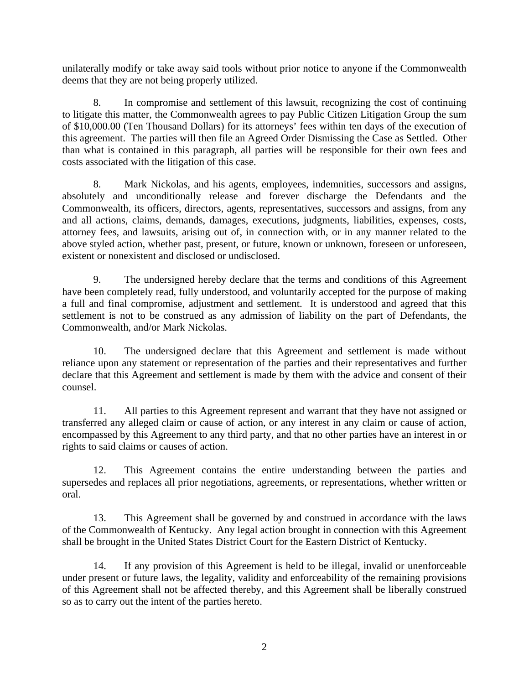unilaterally modify or take away said tools without prior notice to anyone if the Commonwealth deems that they are not being properly utilized.

8. In compromise and settlement of this lawsuit, recognizing the cost of continuing to litigate this matter, the Commonwealth agrees to pay Public Citizen Litigation Group the sum of \$10,000.00 (Ten Thousand Dollars) for its attorneys' fees within ten days of the execution of this agreement. The parties will then file an Agreed Order Dismissing the Case as Settled. Other than what is contained in this paragraph, all parties will be responsible for their own fees and costs associated with the litigation of this case.

8. Mark Nickolas, and his agents, employees, indemnities, successors and assigns, absolutely and unconditionally release and forever discharge the Defendants and the Commonwealth, its officers, directors, agents, representatives, successors and assigns, from any and all actions, claims, demands, damages, executions, judgments, liabilities, expenses, costs, attorney fees, and lawsuits, arising out of, in connection with, or in any manner related to the above styled action, whether past, present, or future, known or unknown, foreseen or unforeseen, existent or nonexistent and disclosed or undisclosed.

9. The undersigned hereby declare that the terms and conditions of this Agreement have been completely read, fully understood, and voluntarily accepted for the purpose of making a full and final compromise, adjustment and settlement. It is understood and agreed that this settlement is not to be construed as any admission of liability on the part of Defendants, the Commonwealth, and/or Mark Nickolas.

10. The undersigned declare that this Agreement and settlement is made without reliance upon any statement or representation of the parties and their representatives and further declare that this Agreement and settlement is made by them with the advice and consent of their counsel.

11. All parties to this Agreement represent and warrant that they have not assigned or transferred any alleged claim or cause of action, or any interest in any claim or cause of action, encompassed by this Agreement to any third party, and that no other parties have an interest in or rights to said claims or causes of action.

12. This Agreement contains the entire understanding between the parties and supersedes and replaces all prior negotiations, agreements, or representations, whether written or oral.

13. This Agreement shall be governed by and construed in accordance with the laws of the Commonwealth of Kentucky. Any legal action brought in connection with this Agreement shall be brought in the United States District Court for the Eastern District of Kentucky.

14. If any provision of this Agreement is held to be illegal, invalid or unenforceable under present or future laws, the legality, validity and enforceability of the remaining provisions of this Agreement shall not be affected thereby, and this Agreement shall be liberally construed so as to carry out the intent of the parties hereto.